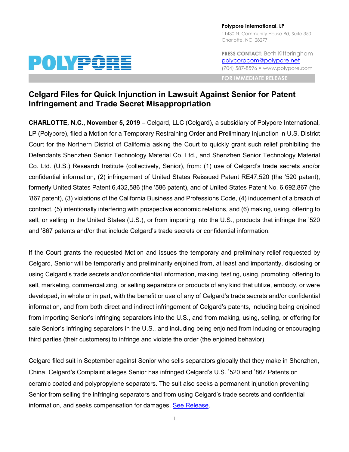

**Polypore International, LP** 11430 N. Community House Rd, Suite 350 Charlotte, NC 28277

**PRESS CONTACT:** Beth Kitteringham [polycorpcom@polypore.net](mailto:polycorpcom@polypore.net) (704) 587-8596 • www.polypore.com

**FOR IMMEDIATE RELEASE**

## **Celgard Files for Quick Injunction in Lawsuit Against Senior for Patent Infringement and Trade Secret Misappropriation**

**CHARLOTTE, N.C., November 5, 2019** – Celgard, LLC (Celgard), a subsidiary of Polypore International, LP (Polypore), filed a Motion for a Temporary Restraining Order and Preliminary Injunction in U.S. District Court for the Northern District of California asking the Court to quickly grant such relief prohibiting the Defendants Shenzhen Senior Technology Material Co. Ltd., and Shenzhen Senior Technology Material Co. Ltd. (U.S.) Research Institute (collectively, Senior), from: (1) use of Celgard's trade secrets and/or confidential information, (2) infringement of United States Reissued Patent RE47,520 (the '520 patent), formerly United States Patent 6,432,586 (the '586 patent), and of United States Patent No. 6,692,867 (the '867 patent), (3) violations of the California Business and Professions Code, (4) inducement of a breach of contract, (5) intentionally interfering with prospective economic relations, and (6) making, using, offering to sell, or selling in the United States (U.S.), or from importing into the U.S., products that infringe the '520 and '867 patents and/or that include Celgard's trade secrets or confidential information.

If the Court grants the requested Motion and issues the temporary and preliminary relief requested by Celgard, Senior will be temporarily and preliminarily enjoined from, at least and importantly, disclosing or using Celgard's trade secrets and/or confidential information, making, testing, using, promoting, offering to sell, marketing, commercializing, or selling separators or products of any kind that utilize, embody, or were developed, in whole or in part, with the benefit or use of any of Celgard's trade secrets and/or confidential information, and from both direct and indirect infringement of Celgard's patents, including being enjoined from importing Senior's infringing separators into the U.S., and from making, using, selling, or offering for sale Senior's infringing separators in the U.S., and including being enjoined from inducing or encouraging third parties (their customers) to infringe and violate the order (the enjoined behavior).

Celgard filed suit in September against Senior who sells separators globally that they make in Shenzhen, China. Celgard's Complaint alleges Senior has infringed Celgard's U.S. '520 and '867 Patents on ceramic coated and polypropylene separators. The suit also seeks a permanent injunction preventing Senior from selling the infringing separators and from using Celgard's trade secrets and confidential information, and seeks compensation for damages. [See Release.](https://www.prnewswire.com/news-releases/celgard-files-lawsuit-against-senior-for-patent-infringement-of-ceramic-coated-separators-used-in-lithium-batteries-300919235.html?tc=eml_cleartime)

1